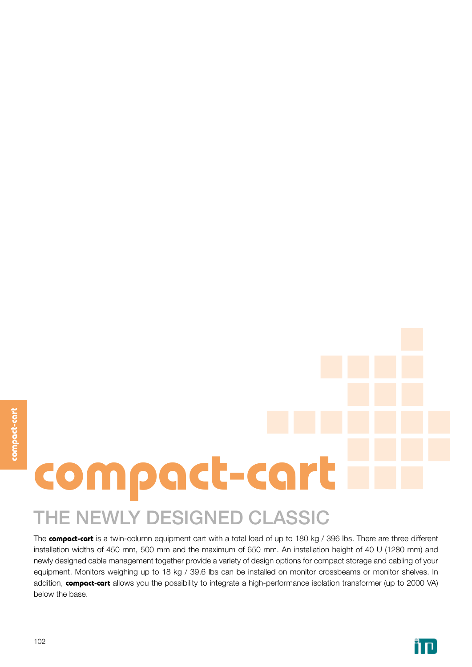# **compact-cart**

# THE NEWLY DESIGNED CLASSIC

The **compact-cart** is a twin-column equipment cart with a total load of up to 180 kg / 396 lbs. There are three different installation widths of 450 mm, 500 mm and the maximum of 650 mm. An installation height of 40 U (1280 mm) and newly designed cable management together provide a variety of design options for compact storage and cabling of your equipment. Monitors weighing up to 18 kg / 39.6 lbs can be installed on monitor crossbeams or monitor shelves. In addition, **compact-cart** allows you the possibility to integrate a high-performance isolation transformer (up to 2000 VA) below the base.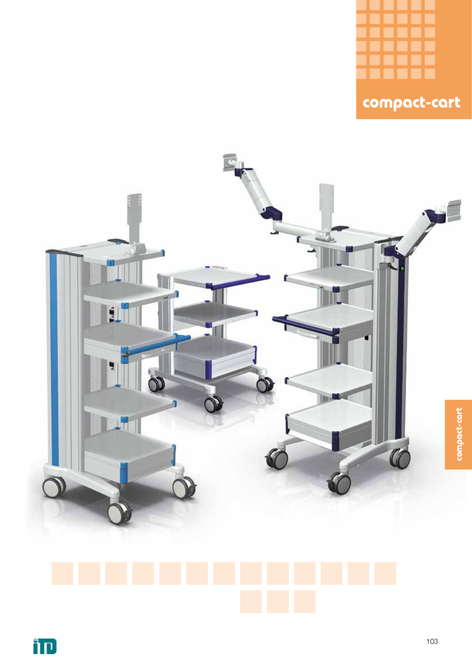





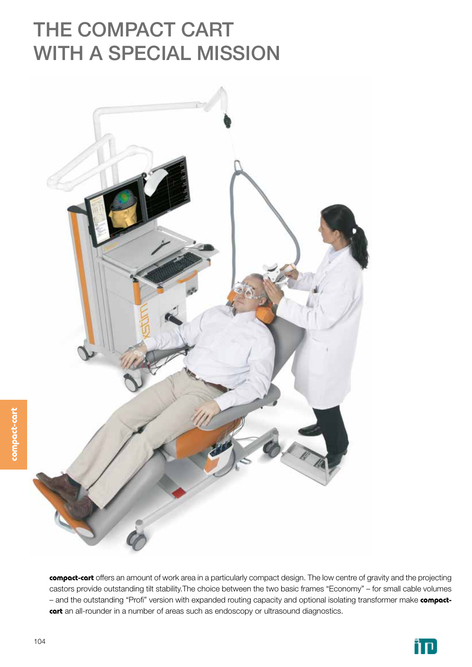# THE COMPACT CART WITH A SPECIAL MISSION



**compact-cart** offers an amount of work area in a particularly compact design. The low centre of gravity and the projecting castors provide outstanding tilt stability.The choice between the two basic frames "Economy" – for small cable volumes – and the outstanding "Profi" version with expanded routing capacity and optional isolating transformer make **compactcart** an all-rounder in a number of areas such as endoscopy or ultrasound diagnostics.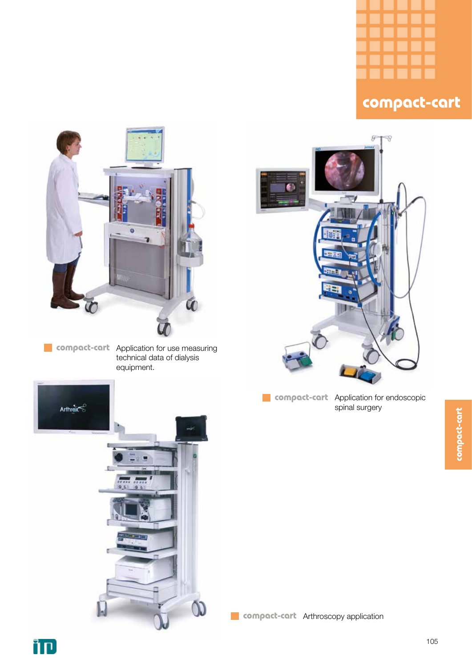



**compact-cart** Application for use measuring technical data of dialysis equipment.



**compact-cart** Application for endoscopic spinal surgery



**compact-cart** Arthroscopy application ×.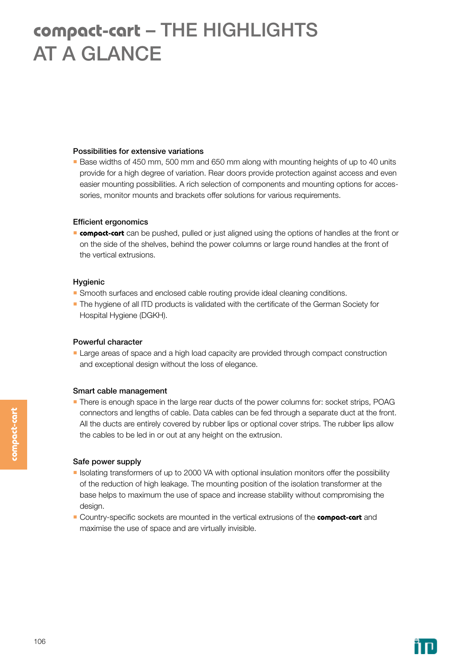### **compact-cart** – THE HIGHLIGHTS AT A GLANCE

#### Possibilities for extensive variations

**Base widths of 450 mm, 500 mm and 650 mm along with mounting heights of up to 40 units** provide for a high degree of variation. Rear doors provide protection against access and even easier mounting possibilities. A rich selection of components and mounting options for accessories, monitor mounts and brackets offer solutions for various requirements.

#### Efficient ergonomics

**compact-cart** can be pushed, pulled or just aligned using the options of handles at the front or on the side of the shelves, behind the power columns or large round handles at the front of the vertical extrusions.

#### Hygienic

- Smooth surfaces and enclosed cable routing provide ideal cleaning conditions.
- **The hygiene of all ITD products is validated with the certificate of the German Society for** Hospital Hygiene (DGKH).

#### Powerful character

**Large areas of space and a high load capacity are provided through compact construction** and exceptional design without the loss of elegance.

#### Smart cable management

**There is enough space in the large rear ducts of the power columns for: socket strips, POAG** connectors and lengths of cable. Data cables can be fed through a separate duct at the front. All the ducts are entirely covered by rubber lips or optional cover strips. The rubber lips allow the cables to be led in or out at any height on the extrusion.

#### Safe power supply

- Isolating transformers of up to 2000 VA with optional insulation monitors offer the possibility of the reduction of high leakage. The mounting position of the isolation transformer at the base helps to maximum the use of space and increase stability without compromising the design.
- Country-specific sockets are mounted in the vertical extrusions of the **compact-cart** and maximise the use of space and are virtually invisible.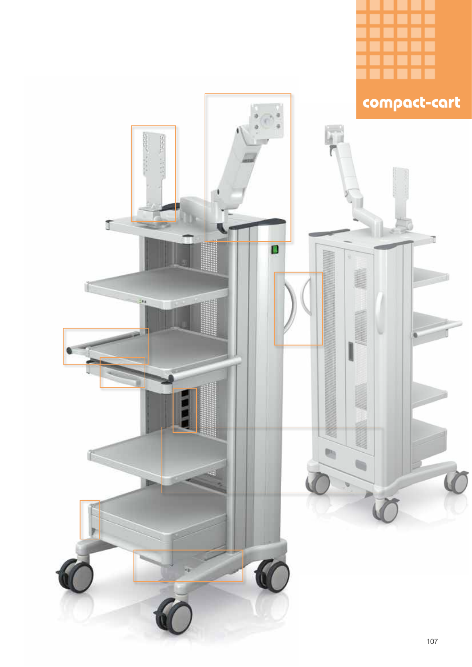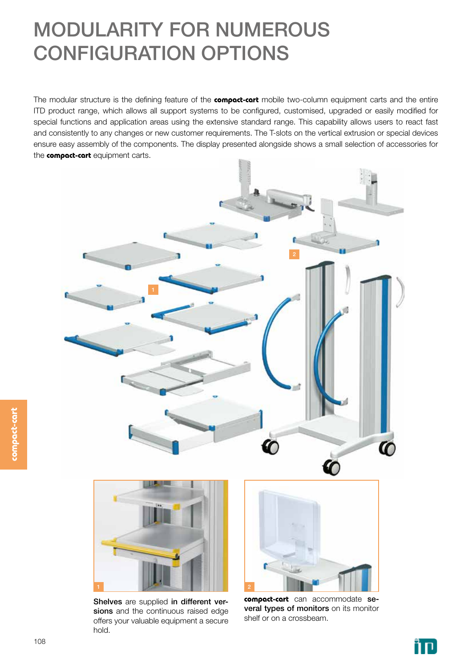# MODULARITY FOR NUMEROUS CONFIGURATION OPTIONS

The modular structure is the defining feature of the **compact-cart** mobile two-column equipment carts and the entire ITD product range, which allows all support systems to be configured, customised, upgraded or easily modified for special functions and application areas using the extensive standard range. This capability allows users to react fast and consistently to any changes or new customer requirements. The T-slots on the vertical extrusion or special devices ensure easy assembly of the components. The display presented alongside shows a small selection of accessories for the **compact-cart** equipment carts.





Shelves are supplied in different versions and the continuous raised edge offers your valuable equipment a secure hold.



**compact-cart** can accommodate several types of monitors on its monitor shelf or on a crossbeam.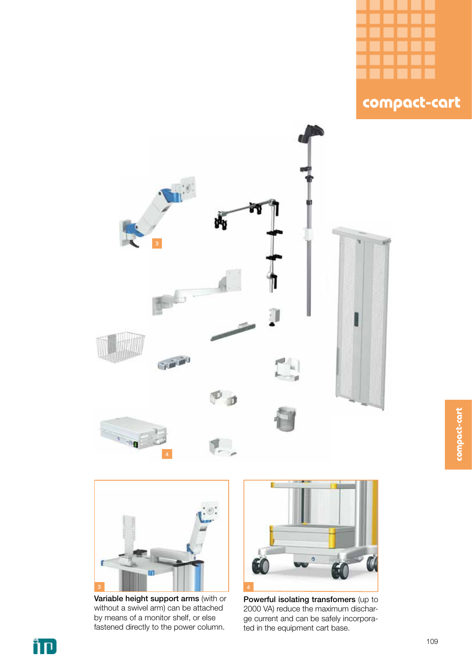







Variable height support arms (with or without a swivel arm) can be attached by means of a monitor shelf, or else fastened directly to the power column.



Powerful isolating transfomers (up to 2000 VA) reduce the maximum discharge current and can be safely incorporated in the equipment cart base.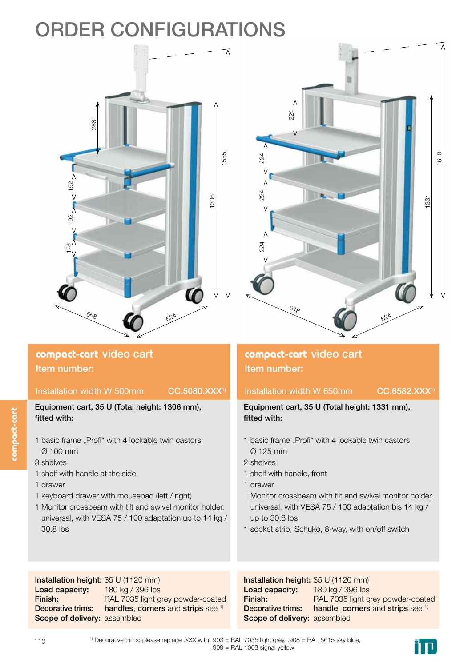# ORDER CONFIGURATIONS





### Installation width W 500mm CC.5080.XXX<sup>1)</sup>

Equipment cart, 35 U (Total height: 1306 mm), fitted with:

- 1 basic frame "Profi" with 4 lockable twin castors Ø 100 mm
- 3 shelves
- 1 shelf with handle at the side
- 1 drawer
- 1 keyboard drawer with mousepad (left / right)
- 1 Monitor crossbeam with tilt and swivel monitor holder, universal, with VESA 75 / 100 adaptation up to 14 kg / 30.8 lbs

Installation height: 35 U (1120 mm) Load capacity: Finish: Decorative trims: Scope of delivery: assembled 180 kg / 396 lbs RAL 7035 light grey powder-coated handles, corners and strips see <sup>1)</sup>

### **compact-cart** video cart Item number:

#### Installation width W 650mm CC.6582.XXX<sup>1)</sup>

Equipment cart, 35 U (Total height: 1331 mm), fitted with:

- 1 basic frame ..Profi<sup>"</sup> with 4 lockable twin castors Ø 125 mm
- 2 shelves
- 1 shelf with handle, front
- 1 drawer
- 1 Monitor crossbeam with tilt and swivel monitor holder, universal, with VESA 75 / 100 adaptation bis 14 kg / up to 30.8 lbs
- 1 socket strip, Schuko, 8-way, with on/off switch

Installation height: 35 U (1120 mm) Load capacity: Finish: Decorative trims: Scope of delivery: assembled 180 kg / 396 lbs RAL 7035 light grey powder-coated handle, corners and strips see 1)



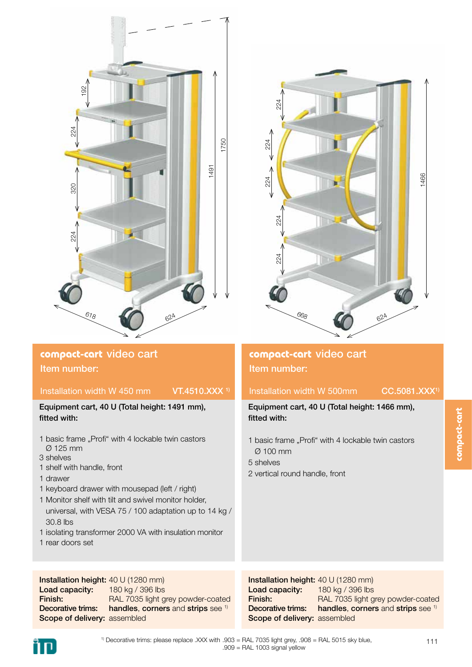

### **compact-cart** video cart Item number:

#### Installation width W 450 mm  $VT.4510.XXX$ <sup>1)</sup>

#### Equipment cart, 40 U (Total height: 1491 mm), fitted with:

- 1 basic frame "Profi" with 4 lockable twin castors Ø 125 mm
- 3 shelves
- 1 shelf with handle, front
- 1 drawer
- 1 keyboard drawer with mousepad (left / right)
- 1 Monitor shelf with tilt and swivel monitor holder, universal, with VESA 75 / 100 adaptation up to 14 kg / 30.8 lbs
- 1 isolating transformer 2000 VA with insulation monitor
- 1 rear doors set

Installation height: 40 U (1280 mm) Load capacity: Finish: Decorative trims: Scope of delivery: assembled 180 kg / 396 lbs RAL 7035 light grey powder-coated handles, corners and strips see <sup>1)</sup>

#### Installation height: 40 U (1280 mm) Load capacity: Finish: Decorative trims: Scope of delivery: assembled 180 kg / 396 lbs RAL 7035 light grey powder-coated handles, corners and strips see <sup>1)</sup>



### **compact-cart** video cart Item number:

#### Installation width W 500mm CC.5081.XXX<sup>1)</sup>

Equipment cart, 40 U (Total height: 1466 mm), fitted with:

- 1 basic frame "Profi" with 4 lockable twin castors Ø 100 mm
- 5 shelves
- 2 vertical round handle, front

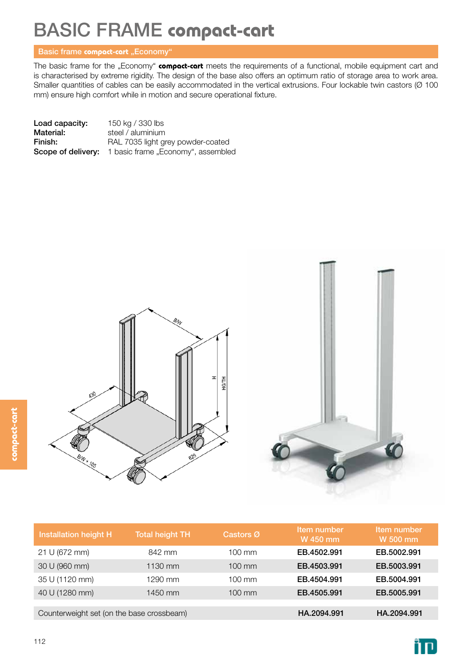# BASIC FRAME **compact-cart**

#### Basic frame **compact-cart** "Economy"

The basic frame for the "Economy" **compact-cart** meets the requirements of a functional, mobile equipment cart and is characterised by extreme rigidity. The design of the base also offers an optimum ratio of storage area to work area. Smaller quantities of cables can be easily accommodated in the vertical extrusions. Four lockable twin castors (Ø 100 mm) ensure high comfort while in motion and secure operational fixture.

| Load capacity: | 150 kg / 330 lbs                                             |
|----------------|--------------------------------------------------------------|
| Material:      | steel / aluminium                                            |
| Finish:        | RAL 7035 light grey powder-coated                            |
|                | <b>Scope of delivery:</b> 1 basic frame "Economy", assembled |



| Installation height H                     | <b>Total height TH</b> | Castors Ø        | Item number<br>W 450 mm | Item number<br>W 500 mm |
|-------------------------------------------|------------------------|------------------|-------------------------|-------------------------|
| 21 U (672 mm)                             | 842 mm                 | $100 \text{ mm}$ | EB.4502.991             | EB.5002.991             |
| 30 U (960 mm)                             | 1130 mm                | $100 \text{ mm}$ | EB.4503.991             | EB.5003.991             |
| 35 U (1120 mm)                            | 1290 mm                | $100 \text{ mm}$ | EB.4504.991             | EB.5004.991             |
| 40 U (1280 mm)                            | 1450 mm                | $100 \text{ mm}$ | EB.4505.991             | EB.5005.991             |
|                                           |                        |                  |                         |                         |
| Counterweight set (on the base crossbeam) |                        |                  | HA.2094.991             | HA.2094.991             |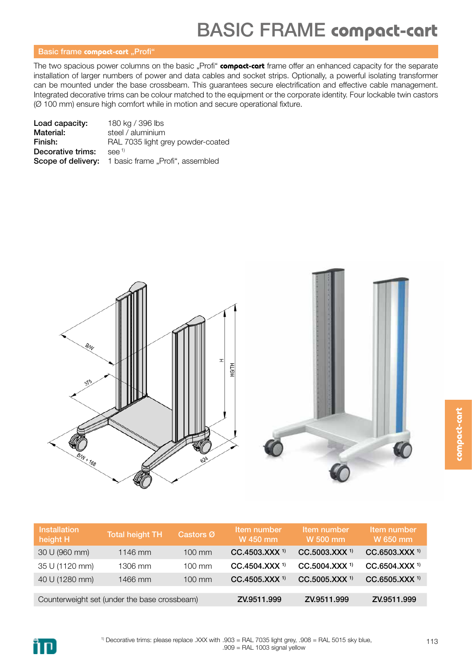#### **Basic frame compact-cart** "Profi"

The two spacious power columns on the basic "Profi" **compact-cart** frame offer an enhanced capacity for the separate installation of larger numbers of power and data cables and socket strips. Optionally, a powerful isolating transformer can be mounted under the base crossbeam. This guarantees secure electrification and effective cable management. Integrated decorative trims can be colour matched to the equipment or the corporate identity. Four lockable twin castors (Ø 100 mm) ensure high comfort while in motion and secure operational fixture.

| Load capacity:    | 180 kg / 396 lbs                                           |
|-------------------|------------------------------------------------------------|
| Material:         | steel / aluminium                                          |
| Finish:           | RAL 7035 light grey powder-coated                          |
| Decorative trims: | $See$ <sup>1)</sup>                                        |
|                   | <b>Scope of delivery:</b> 1 basic frame "Profi", assembled |



| <b>Installation</b><br>height H | <b>Total height TH</b>                       | Castors Ø        | Item number<br>W 450 mm   | Item number<br>W 500 mm   | Item number<br>W 650 mm   |
|---------------------------------|----------------------------------------------|------------------|---------------------------|---------------------------|---------------------------|
| 30 U (960 mm)                   | 1146 mm                                      | $100 \text{ mm}$ | CC.4503.XXX <sup>1)</sup> | CC.5003.XXX <sup>1)</sup> | CC.6503.XXX <sup>1)</sup> |
| 35 U (1120 mm)                  | 1306 mm                                      | $100 \text{ mm}$ | CC.4504.XXX <sup>1)</sup> | CC.5004.XXX <sup>1)</sup> | CC.6504.XXX <sup>1)</sup> |
| 40 U (1280 mm)                  | 1466 mm                                      | $100 \text{ mm}$ | CC.4505.XXX <sup>1)</sup> | CC.5005.XXX <sup>1)</sup> | CC.6505.XXX <sup>1)</sup> |
|                                 |                                              |                  |                           |                           |                           |
|                                 | Counterweight set (under the base crossbeam) |                  | ZV.9511.999               | ZV.9511.999               | ZV.9511.999               |

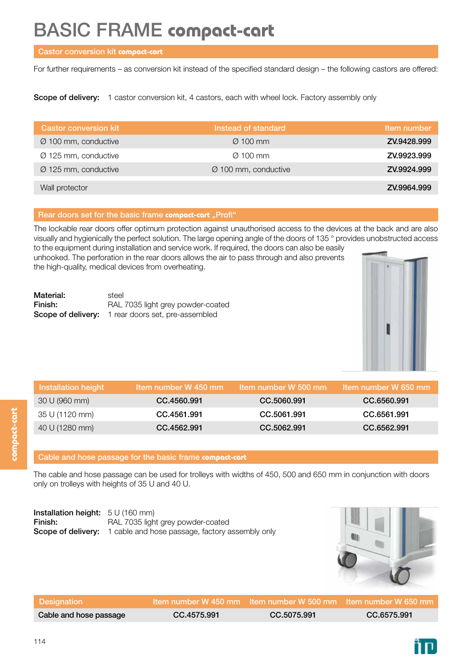### BASIC FRAME **compact-cart**

#### Castor conversion kit **compact-cart**

For further requirements – as conversion kit instead of the specified standard design – the following castors are offered:

Scope of delivery: 1 castor conversion kit, 4 castors, each with wheel lock. Factory assembly only

| <b>Castor conversion kit</b>     | Instead of standard              | Item number |
|----------------------------------|----------------------------------|-------------|
| Ø 100 mm, conductive             | $\varnothing$ 100 mm             | ZV.9428.999 |
| Ø 125 mm, conductive             | $\varnothing$ 100 mm             | ZV.9923.999 |
| $\varnothing$ 125 mm, conductive | $\varnothing$ 100 mm, conductive | ZV.9924.999 |
|                                  |                                  |             |
| Wall protector                   |                                  | ZV.9964.999 |

#### Rear doors set for the basic frame **compact-cart** "Profi"

The lockable rear doors offer optimum protection against unauthorised access to the devices at the back and are also visually and hygienically the perfect solution. The large opening angle of the doors of 135 ° provides unobstructed access to the equipment during installation and service work. If required, the doors can also be easily

unhooked. The perforation in the rear doors allows the air to pass through and also prevents the high-quality, medical devices from overheating.

| Material: | steel                                                     |
|-----------|-----------------------------------------------------------|
| Finish:   | RAL 7035 light grey powder-coated                         |
|           | <b>Scope of delivery:</b> 1 rear doors set, pre-assembled |



| <b>Installation height</b> | Item number W 450 mm | Item number W 500 mm | Item number W 650 mm |
|----------------------------|----------------------|----------------------|----------------------|
| 30 U (960 mm)              | CC.4560.991          | CC.5060.991          | CC.6560.991          |
| 35 U (1120 mm)             | CC.4561.991          | CC.5061.991          | CC.6561.991          |
| 40 U (1280 mm)             | CC.4562.991          | CC.5062.991          | CC.6562.991          |

#### Cable and hose passage for the basic frame **compact-cart**

The cable and hose passage can be used for trolleys with widths of 450, 500 and 650 mm in conjunction with doors only on trolleys with heights of 35 U and 40 U.

| <b>Installation height:</b> $5 \cup (160 \text{ mm})$ |                                                                           |
|-------------------------------------------------------|---------------------------------------------------------------------------|
| Finish:                                               | RAL 7035 light grey powder-coated                                         |
|                                                       | <b>Scope of delivery:</b> 1 cable and hose passage, factory assembly only |



| <b>Designation</b>     |             | $\,$ Item number W 450 mm $\,$ Item number W 500 mm $\,$ Item number W 650 mm $\,$ |             |
|------------------------|-------------|------------------------------------------------------------------------------------|-------------|
| Cable and hose passage | CC.4575.991 | CC.5075.991                                                                        | CC.6575.991 |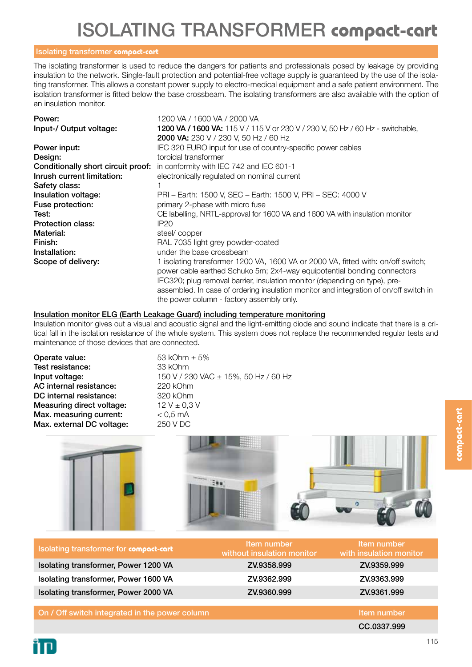# ISOLATING TRANSFORMER **compact-cart**

#### Isolating transformer **compact-cart**

The isolating transformer is used to reduce the dangers for patients and professionals posed by leakage by providing insulation to the network. Single-fault protection and potential-free voltage supply is guaranteed by the use of the isolating transformer. This allows a constant power supply to electro-medical equipment and a safe patient environment. The isolation transformer is fitted below the base crossbeam. The isolating transformers are also available with the option of an insulation monitor.

| Power:                     | 1200 VA / 1600 VA / 2000 VA                                                           |
|----------------------------|---------------------------------------------------------------------------------------|
| Input-/ Output voltage:    | 1200 VA / 1600 VA: 115 V / 115 V or 230 V / 230 V, 50 Hz / 60 Hz - switchable,        |
|                            | <b>2000 VA:</b> 230 V / 230 V, 50 Hz / 60 Hz                                          |
| Power input:               | IEC 320 EURO input for use of country-specific power cables                           |
| Design:                    | toroidal transformer                                                                  |
|                            | <b>Conditionally short circuit proof:</b> in conformity with IEC 742 and IEC 601-1    |
| Inrush current limitation: | electronically regulated on nominal current                                           |
| Safety class:              |                                                                                       |
| Insulation voltage:        | PRI - Earth: 1500 V, SEC - Earth: 1500 V, PRI - SEC: 4000 V                           |
| Fuse protection:           | primary 2-phase with micro fuse                                                       |
| Test:                      | CE labelling, NRTL-approval for 1600 VA and 1600 VA with insulation monitor           |
| <b>Protection class:</b>   | IP <sub>20</sub>                                                                      |
| Material:                  | steel/copper                                                                          |
| Finish:                    | RAL 7035 light grey powder-coated                                                     |
| Installation:              | under the base crossbeam                                                              |
| Scope of delivery:         | 1 isolating transformer 1200 VA, 1600 VA or 2000 VA, fitted with: on/off switch;      |
|                            | power cable earthed Schuko 5m; 2x4-way equipotential bonding connectors               |
|                            | IEC320; plug removal barrier, insulation monitor (depending on type), pre-            |
|                            | assembled. In case of ordering insulation monitor and integration of on/off switch in |

#### Insulation monitor ELG (Earth Leakage Guard) including temperature monitoring

Insulation monitor gives out a visual and acoustic signal and the light-emitting diode and sound indicate that there is a critical fall in the isolation resistance of the whole system. This system does not replace the recommended regular tests and maintenance of those devices that are connected.

the power column - factory assembly only.

**Operate value:**  $53 \text{ kOhm } \pm 5\%$ Test resistance: 33 kOhm AC internal resistance: 220 kOhm DC internal resistance: 320 kOhm Measuring direct voltage:  $12 \text{ V} \pm 0.3 \text{ V}$ Max. measuring current:  $< 0.5$  mA Max. external DC voltage: 250 V DC

**Input voltage:** 150 V / 230 VAC ± 15%, 50 Hz / 60 Hz



| Isolating transformer for compact-cart         | Item number<br>without insulation monitor | Item number<br>with insulation monitor |
|------------------------------------------------|-------------------------------------------|----------------------------------------|
| Isolating transformer, Power 1200 VA           | ZV.9358.999                               | ZV.9359.999                            |
| Isolating transformer, Power 1600 VA           | ZV.9362.999                               | ZV.9363.999                            |
| Isolating transformer, Power 2000 VA           | ZV.9360.999                               | ZV.9361.999                            |
|                                                |                                           |                                        |
| On / Off switch integrated in the power column |                                           | Item number                            |
|                                                |                                           | CC.0337.999                            |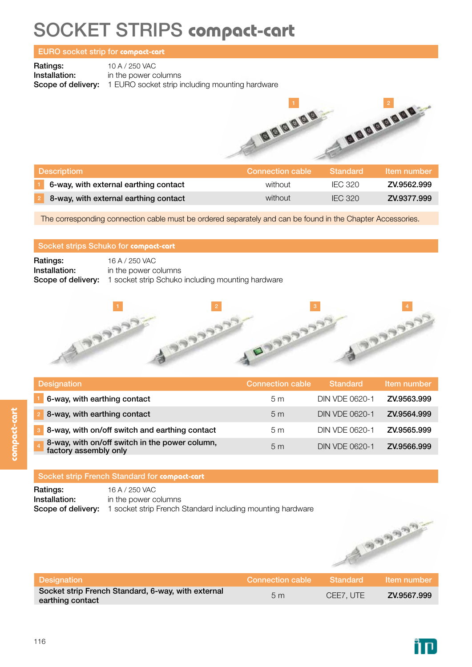### SOCKET STRIPS **compact-cart**

#### EURO socket strip for **compact-cart**

Ratings: 10 A / 250 VAC<br>Installation: in the power c

in the power columns Scope of delivery: 1 EURO socket strip including mounting hardware



| <b>Descriptiom</b>                    | Connection cable | Standard       | Item number |
|---------------------------------------|------------------|----------------|-------------|
| 6-way, with external earthing contact | without          | IEC 320        | ZV.9562.999 |
| 8-way, with external earthing contact | without          | <b>IFC 320</b> | ZV.9377.999 |

The corresponding connection cable must be ordered separately and can be found in the Chapter Accessories.

#### Socket strips Schuko for **compact-cart**

| Ratings:      | 16 A / 250 VAC                                                              |
|---------------|-----------------------------------------------------------------------------|
| Installation: | in the power columns                                                        |
|               | <b>Scope of delivery:</b> 1 socket strip Schuko including mounting hardware |



| <b>Designation</b>                                                      | <b>Connection cable</b> | <b>Standard</b>       | Item number |
|-------------------------------------------------------------------------|-------------------------|-----------------------|-------------|
| 6-way, with earthing contact                                            | 5m                      | DIN VDE 0620-1        | ZV.9563.999 |
| 8-way, with earthing contact                                            | 5 <sub>m</sub>          | <b>DIN VDE 0620-1</b> | ZV.9564.999 |
| 8-way, with on/off switch and earthing contact                          | 5m                      | DIN VDE 0620-1        | ZV.9565.999 |
| 8-way, with on/off switch in the power column,<br>factory assembly only | 5 <sub>m</sub>          | DIN VDE 0620-1        | ZV.9566.999 |

#### Socket strip French Standard for **compact-cart**

**Ratings:** 16 A / 250 VAC **Installation:** in the power columns Scope of delivery: 1 socket strip French Standard including mounting hardware



| Designation                                                            | Connection cable | ⊾Standard \ | / Item number⊥ |
|------------------------------------------------------------------------|------------------|-------------|----------------|
| Socket strip French Standard, 6-way, with external<br>earthing contact | 5m               | CEE7. UTE   | ZV.9567.999    |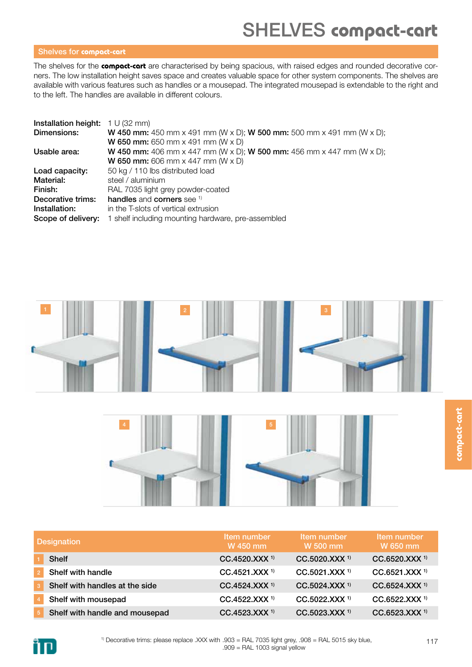### SHELVES **compact-cart**

#### Shelves for **compact-cart**

The shelves for the **compact-cart** are characterised by being spacious, with raised edges and rounded decorative corners. The low installation height saves space and creates valuable space for other system components. The shelves are available with various features such as handles or a mousepad. The integrated mousepad is extendable to the right and to the left. The handles are available in different colours.

| Installation height: | 1 U (32 mm)                                                                         |
|----------------------|-------------------------------------------------------------------------------------|
| Dimensions:          | <b>W 450 mm:</b> 450 mm x 491 mm (W x D); <b>W 500 mm:</b> 500 mm x 491 mm (W x D); |
|                      | <b>W 650 mm:</b> 650 mm $\times$ 491 mm (W $\times$ D)                              |
| Usable area:         | <b>W 450 mm:</b> 406 mm x 447 mm (W x D); <b>W 500 mm:</b> 456 mm x 447 mm (W x D); |
|                      | <b>W 650 mm:</b> 606 mm $\times$ 447 mm (W $\times$ D)                              |
| Load capacity:       | 50 kg / 110 lbs distributed load                                                    |
| Material:            | steel / aluminium                                                                   |
| Finish:              | RAL 7035 light grey powder-coated                                                   |
| Decorative trims:    | handles and corners see 1)                                                          |
| Installation:        | in the T-slots of vertical extrusion                                                |
| Scope of delivery:   | 1 shelf including mounting hardware, pre-assembled                                  |





| <b>Designation</b>             | Item number<br>W 450 mm     | Item number<br>W 500 mm     | Item number<br>W 650 mm   |
|--------------------------------|-----------------------------|-----------------------------|---------------------------|
| <b>Shelf</b>                   | CC.4520.XXX <sup>1)</sup>   | $CC.5020.XXX$ <sup>1)</sup> | CC.6520.XXX <sup>1)</sup> |
| Shelf with handle              | $CC.4521.XXX$ <sup>1)</sup> | CC.5021.XXX <sup>1)</sup>   | CC.6521.XXX <sup>1)</sup> |
| Shelf with handles at the side | CC.4524.XXX <sup>1)</sup>   | $CC.5024.XXX$ <sup>1)</sup> | CC.6524.XXX <sup>1)</sup> |
| Shelf with mousepad            | CC.4522.XXX <sup>1)</sup>   | $CC.5022.XXX$ <sup>1)</sup> | CC.6522.XXX <sup>1)</sup> |
| Shelf with handle and mousepad | CC.4523.XXX <sup>1)</sup>   | CC.5023.XXX <sup>1)</sup>   | CC.6523.XXX <sup>1)</sup> |



**compact-cart**

compact-cart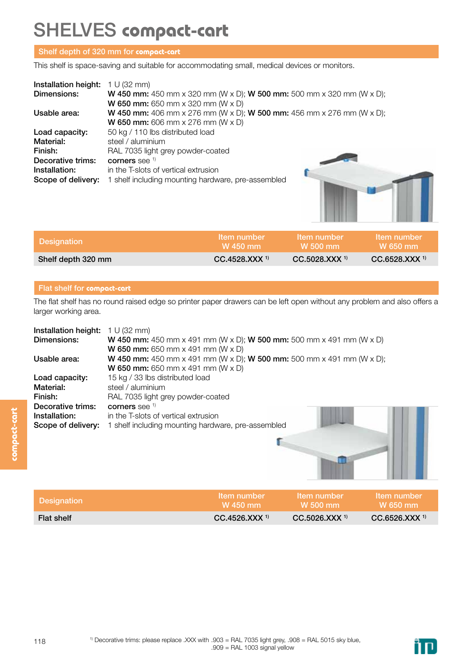### SHELVES **compact-cart**

#### Shelf depth of 320 mm for **compact-cart**

This shelf is space-saving and suitable for accommodating small, medical devices or monitors.

| Installation height: | 1 U (32 mm)                                                                         |  |
|----------------------|-------------------------------------------------------------------------------------|--|
| Dimensions:          | <b>W 450 mm:</b> 450 mm x 320 mm (W x D); <b>W 500 mm:</b> 500 mm x 320 mm (W x D); |  |
|                      | <b>W 650 mm:</b> 650 mm $\times$ 320 mm (W $\times$ D)                              |  |
| Usable area:         | <b>W 450 mm:</b> 406 mm x 276 mm (W x D); <b>W 500 mm:</b> 456 mm x 276 mm (W x D); |  |
|                      | <b>W 650 mm:</b> 606 mm $\times$ 276 mm (W $\times$ D)                              |  |
| Load capacity:       | 50 kg / 110 lbs distributed load                                                    |  |
| Material:            | steel / aluminium                                                                   |  |
| Finish:              | RAL 7035 light grey powder-coated                                                   |  |
| Decorative trims:    | corners see 1)                                                                      |  |
| Installation:        | in the T-slots of vertical extrusion                                                |  |
| Scope of delivery:   | 1 shelf including mounting hardware, pre-assembled                                  |  |

| Designation        | <b>Item number</b><br>W 450 mm | Item number<br>W 500 mm     | <b>Item number</b><br><b>W</b> 650 mm |
|--------------------|--------------------------------|-----------------------------|---------------------------------------|
| Shelf depth 320 mm | $CC.4528.XXX$ <sup>1)</sup>    | $CC.5028.XXX$ <sup>1)</sup> | $CC.6528.XXX$ <sup>1)</sup>           |

#### Flat shelf for **compact-cart**

The flat shelf has no round raised edge so printer paper drawers can be left open without any problem and also offers a larger working area.

| Installation height: | 1 U (32 mm)                                                                         |
|----------------------|-------------------------------------------------------------------------------------|
| Dimensions:          | <b>W 450 mm:</b> 450 mm x 491 mm (W x D); <b>W 500 mm:</b> 500 mm x 491 mm (W x D)  |
|                      | <b>W 650 mm:</b> 650 mm $\times$ 491 mm (W $\times$ D)                              |
| Usable area:         | <b>W 450 mm:</b> 450 mm x 491 mm (W x D); <b>W 500 mm:</b> 500 mm x 491 mm (W x D); |
|                      | <b>W 650 mm:</b> 650 mm $\times$ 491 mm (W $\times$ D)                              |
| Load capacity:       | 15 kg / 33 lbs distributed load                                                     |
| Material:            | steel / aluminium                                                                   |
| Finish:              | RAL 7035 light grey powder-coated                                                   |
| Decorative trims:    | corners see $1$                                                                     |
| Installation:        | in the T-slots of vertical extrusion                                                |
| Scope of delivery:   | 1 shelf including mounting hardware, pre-assembled                                  |
|                      |                                                                                     |

| <b>Designation</b> | <b>Item number</b><br>W 450 mm | Item number<br><b>W</b> 500 mm | <b>Item number</b><br>M 650 mm |
|--------------------|--------------------------------|--------------------------------|--------------------------------|
| <b>Flat shelf</b>  | $CC.4526.XXX$ <sup>1)</sup>    | CC.5026. XXX 1                 | CC.6526. XXX <sup>1</sup>      |

r

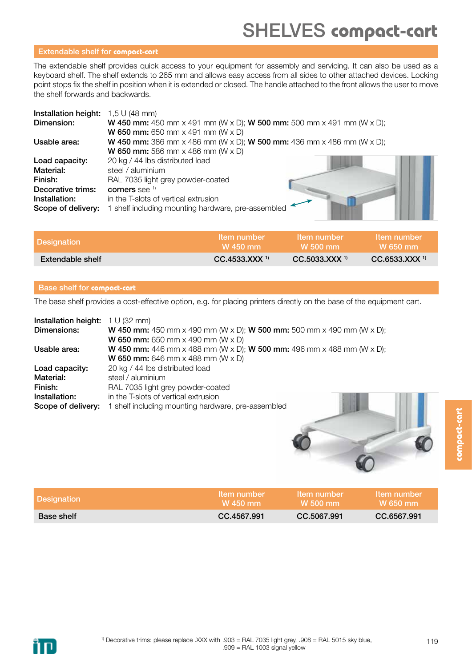### SHELVES **compact-cart**

#### Extendable shelf for **compact-cart**

The extendable shelf provides quick access to your equipment for assembly and servicing. It can also be used as a keyboard shelf. The shelf extends to 265 mm and allows easy access from all sides to other attached devices. Locking point stops fix the shelf in position when it is extended or closed. The handle attached to the front allows the user to move the shelf forwards and backwards.

| Installation height: | $1,5$ U (48 mm)                                                                     |
|----------------------|-------------------------------------------------------------------------------------|
| Dimension:           | <b>W 450 mm:</b> 450 mm x 491 mm (W x D); <b>W 500 mm:</b> 500 mm x 491 mm (W x D); |
|                      | <b>W 650 mm:</b> 650 mm $\times$ 491 mm (W $\times$ D)                              |
| Usable area:         | <b>W 450 mm:</b> 386 mm x 486 mm (W x D); <b>W 500 mm:</b> 436 mm x 486 mm (W x D); |
|                      | <b>W 650 mm:</b> 586 mm $\times$ 486 mm (W $\times$ D)                              |
| Load capacity:       | 20 kg / 44 lbs distributed load                                                     |
| Material:            | steel / aluminium                                                                   |
| Finish:              | RAL 7035 light grey powder-coated                                                   |
| Decorative trims:    | corners see 1)                                                                      |
| Installation:        | in the T-slots of vertical extrusion                                                |
| Scope of delivery:   | 1 shelf including mounting hardware, pre-assembled                                  |

| <b>Designation</b> | <b>Item number</b>          | Item number                            | <b>Item number</b>          |
|--------------------|-----------------------------|----------------------------------------|-----------------------------|
|                    | W 450 mm                    | $\blacksquare$ W 500 mm $\blacksquare$ | <b>W</b> 650 mm             |
| Extendable shelf   | $CC.4533.XXX$ <sup>1)</sup> | $CC.5033.XXX$ <sup>1)</sup>            | $CC.6533.XXX$ <sup>1)</sup> |

#### Base shelf for **compact-cart**

The base shelf provides a cost-effective option, e.g. for placing printers directly on the base of the equipment cart.

| Installation height: | 1 U (32 mm)                                                                         |
|----------------------|-------------------------------------------------------------------------------------|
| Dimensions:          | <b>W 450 mm:</b> 450 mm x 490 mm (W x D); <b>W 500 mm:</b> 500 mm x 490 mm (W x D); |
|                      | <b>W 650 mm:</b> 650 mm $\times$ 490 mm (W $\times$ D)                              |
| Usable area:         | <b>W 450 mm:</b> 446 mm x 488 mm (W x D); <b>W 500 mm:</b> 496 mm x 488 mm (W x D); |
|                      | <b>W 650 mm:</b> 646 mm $\times$ 488 mm (W $\times$ D)                              |
| Load capacity:       | 20 kg / 44 lbs distributed load                                                     |
| Material:            | steel / aluminium                                                                   |
| Finish:              | RAL 7035 light grey powder-coated                                                   |
| Installation:        | in the T-slots of vertical extrusion                                                |
| Scope of delivery:   | 1 shelf including mounting hardware, pre-assembled                                  |



. . .

| <b>Designation</b> | <b>Item number</b> | Item number     | <b>Item number</b> |
|--------------------|--------------------|-----------------|--------------------|
|                    | W 450 mm           | <b>W</b> 500 mm | $W$ 650 mm         |
| Base shelf         | CC.4567.991        | CC.5067.991     | CC.6567.991        |

**compact-cart**

compact-cart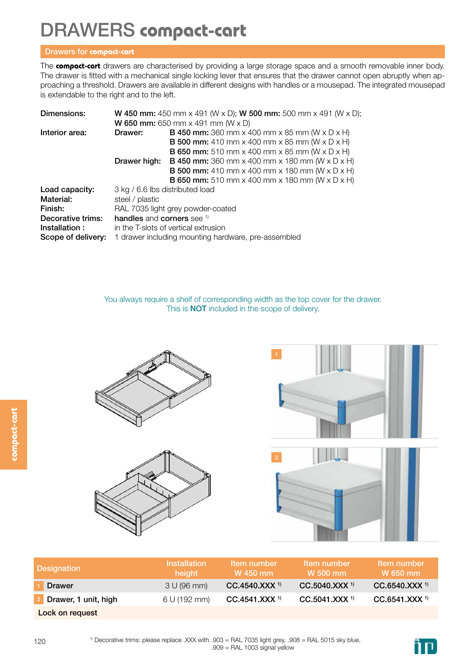### DRAWERS **compact-cart**

#### Drawers for **compact-cart**

The **compact-cart** drawers are characterised by providing a large storage space and a smooth removable inner body. The drawer is fitted with a mechanical single locking lever that ensures that the drawer cannot open abruptly when approaching a threshold. Drawers are available in different designs with handles or a mousepad. The integrated mousepad is extendable to the right and to the left.

| Dimensions:        |                                                     | <b>W 450 mm:</b> 450 mm x 491 (W x D); <b>W 500 mm:</b> 500 mm x 491 (W x D); |  |
|--------------------|-----------------------------------------------------|-------------------------------------------------------------------------------|--|
|                    |                                                     | <b>W 650 mm:</b> 650 mm x 491 mm (W x D)                                      |  |
| Interior area:     | Drawer:                                             | <b>B 450 mm:</b> 360 mm x 400 mm x 85 mm (W x D x H)                          |  |
|                    |                                                     | <b>B 500 mm:</b> 410 mm x 400 mm x 85 mm (W x D x H)                          |  |
|                    |                                                     | <b>B 650 mm:</b> 510 mm x 400 mm x 85 mm (W x D x H)                          |  |
|                    | Drawer high:                                        | <b>B 450 mm:</b> 360 mm x 400 mm x 180 mm (W x D x H)                         |  |
|                    |                                                     | <b>B 500 mm:</b> 410 mm x 400 mm x 180 mm (W x D x H)                         |  |
|                    |                                                     | <b>B 650 mm:</b> 510 mm x 400 mm x 180 mm (W x D x H)                         |  |
| Load capacity:     | 3 kg / 6.6 lbs distributed load                     |                                                                               |  |
| Material:          | steel / plastic                                     |                                                                               |  |
| Finish:            | RAL 7035 light grey powder-coated                   |                                                                               |  |
| Decorative trims:  | handles and corners see 1)                          |                                                                               |  |
| Installation:      | in the T-slots of vertical extrusion                |                                                                               |  |
| Scope of delivery: | 1 drawer including mounting hardware, pre-assembled |                                                                               |  |

You always require a shelf of corresponding width as the top cover for the drawer. This is NOT included in the scope of delivery.





| <b>Designation</b>   | <b>Installation</b><br>height | Item number<br>W 450 mm     | Item number<br>W 500 mm     | Item number<br>W 650 mm   |
|----------------------|-------------------------------|-----------------------------|-----------------------------|---------------------------|
| <b>Drawer</b>        | 3 U (96 mm)                   | CC.4540.XXX <sup>1)</sup>   | $CC.5040.XXX$ <sup>1)</sup> | CC.6540.XXX <sup>1)</sup> |
| Drawer, 1 unit, high | 6 U (192 mm)                  | $CC.4541.XXX$ <sup>1)</sup> | $CC.5041.XXX$ <sup>1)</sup> | CC.6541.XXX <sup>1)</sup> |
| Lock on request      |                               |                             |                             |                           |

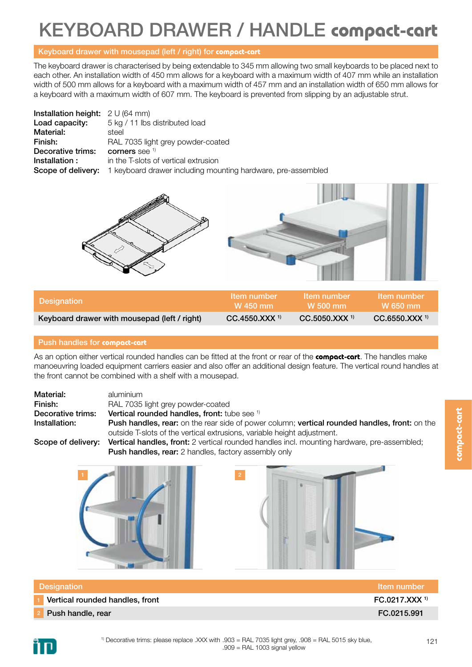### KEYBOARD DRAWER / HANDLE **compact-cart**

#### Keyboard drawer with mousepad (left / right) for **compact-cart**

The keyboard drawer is characterised by being extendable to 345 mm allowing two small keyboards to be placed next to each other. An installation width of 450 mm allows for a keyboard with a maximum width of 407 mm while an installation width of 500 mm allows for a keyboard with a maximum width of 457 mm and an installation width of 650 mm allows for a keyboard with a maximum width of 607 mm. The keyboard is prevented from slipping by an adjustable strut.

| <b>Installation height:</b> $2 \cup (64 \text{ mm})$ |                                                              |
|------------------------------------------------------|--------------------------------------------------------------|
| Load capacity:                                       | 5 kg / 11 lbs distributed load                               |
| Material:                                            | steel                                                        |
| Finish:                                              | RAL 7035 light grey powder-coated                            |
| Decorative trims:                                    | corners see $1$                                              |
| Installation:                                        | in the T-slots of vertical extrusion                         |
| Scope of delivery:                                   | 1 keyboard drawer including mounting hardware, pre-assembled |



| Designation                                  | Item number                 | Item number                 | <b>Item number</b>          |
|----------------------------------------------|-----------------------------|-----------------------------|-----------------------------|
|                                              | W 450 mm                    | W 500 mm                    | W 650 mm                    |
| Keyboard drawer with mousepad (left / right) | $CC.4550.XXX$ <sup>1)</sup> | $CC.5050.XXX$ <sup>1)</sup> | $CC.6550.XXX$ <sup>1)</sup> |

#### Push handles for **compact-cart**

As an option either vertical rounded handles can be fitted at the front or rear of the **compact-cart**. The handles make manoeuvring loaded equipment carriers easier and also offer an additional design feature. The vertical round handles at the front cannot be combined with a shelf with a mousepad.

| Material:         | aluminium                                                                                                   |  |
|-------------------|-------------------------------------------------------------------------------------------------------------|--|
| Finish:           | RAL 7035 light grey powder-coated                                                                           |  |
| Decorative trims: | <b>Vertical rounded handles, front:</b> tube see <sup>1)</sup>                                              |  |
| Installation:     | <b>Push handles, rear:</b> on the rear side of power column; <b>vertical rounded handles, front:</b> on the |  |
|                   | outside T-slots of the vertical extrusions, variable height adjustment.                                     |  |

Scope of delivery: Vertical handles, front: 2 vertical rounded handles incl. mounting hardware, pre-assembled; Push handles, rear: 2 handles, factory assembly only





| Designation                     | Item number               |
|---------------------------------|---------------------------|
| Vertical rounded handles, front | FC.0217.XXX <sup>1)</sup> |
| Push handle, rear               | FC.0215.991               |

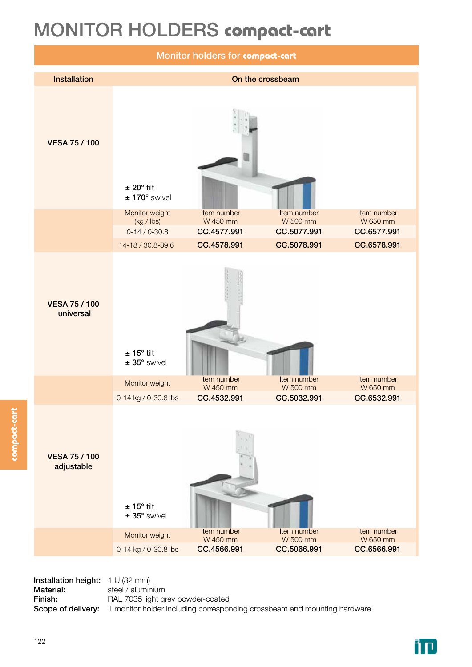### MONITOR HOLDERS **compact-cart**



Installation height: 1 U (32 mm) Material: steel / aluminium Finish: RAL 7035 light grey powder-coated Scope of delivery: 1 monitor holder including corresponding crossbeam and mounting hardware

**compact-cart**

compact-cart